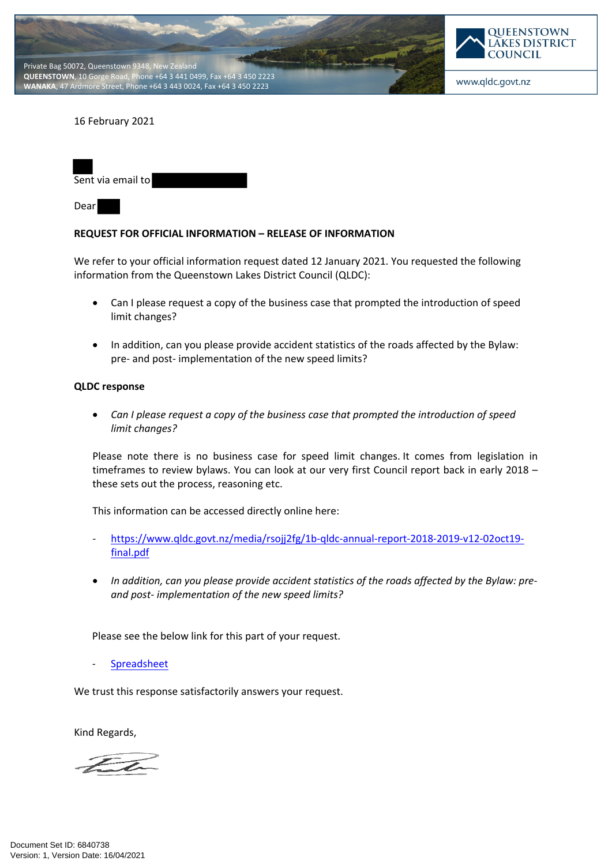



www.qldc.govt.nz

## 16 February 2021

| Sent via email to |  |
|-------------------|--|
|                   |  |

Dear

## **REQUEST FOR OFFICIAL INFORMATION – RELEASE OF INFORMATION**

We refer to your official information request dated 12 January 2021. You requested the following information from the Queenstown Lakes District Council (QLDC):

- Can I please request a copy of the business case that prompted the introduction of speed limit changes?
- In addition, can you please provide accident statistics of the roads affected by the Bylaw: pre- and post- implementation of the new speed limits?

## **QLDC response**

 *Can I please request a copy of the business case that prompted the introduction of speed limit changes?*

Please note there is no business case for speed limit changes. It comes from legislation in timeframes to review bylaws. You can look at our very first Council report back in early 2018 – these sets out the process, reasoning etc.

This information can be accessed directly online here:

- https://www.qldc.govt.nz/media/rsojj2fg/1b-qldc-annual-report-2018-2019-v12-02oct19 final.pdf
- *In addition, can you please provide accident statistics of the roads affected by the Bylaw: preand post- implementation of the new speed limits?*

Please see the below link for this part of your request.

**[Spreadsheet](https://qldc.t1cloud.com/T1Default/CiAnywhere/Web/QLDC/ECMCore/BulkAction/Get/7dccf9a4-0634-48ba-8a42-6490e022a4fa)** 

We trust this response satisfactorily answers your request.

Kind Regards,